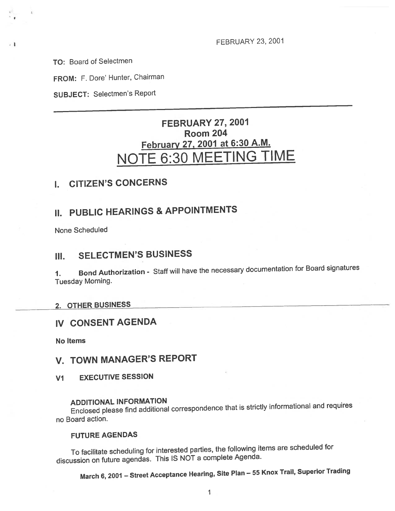FEBRUARY 23, 2001

TO: Board of Selectmen

- 1

FROM: F. Dore' Hunter, Chairman

SUBJECT: Selectmen's Report

# FEBRUARY 27, 2007 Room 204 February 27, 2001 at 6:30 A.M. NOTE 6:30 MEETING TIME

## I. CITIZEN'S CONCERNS

# II. PUBLIC HEARINGS & APPOINTMENTS

None Scheduled

# III. SELECTMEN'S BUSINESS

1. Bond Authorization - Staff will have the necessary documentation for Board signatures Tuesday Morning.

### 2. OTHER BUSINESS

### IV CONSENT AGENDA

No Items

# V. TOWN MANAGER'S REPORT

V1 EXECUTIVE SESSION

### ADDITIONAL INFORMATION

Enclosed <sup>p</sup>lease find additional correspondence that is strictly informational and requires no Board action.

#### FUTURE AGENDAS

To facilitate scheduling for interested parties, the following items are scheduled for discussion on future agendas. This IS NOT <sup>a</sup> complete Agenda.

March 6, <sup>2001</sup> — Street Acceptance Hearing, Site Plan — <sup>55</sup> Knox Trail, Superior Trading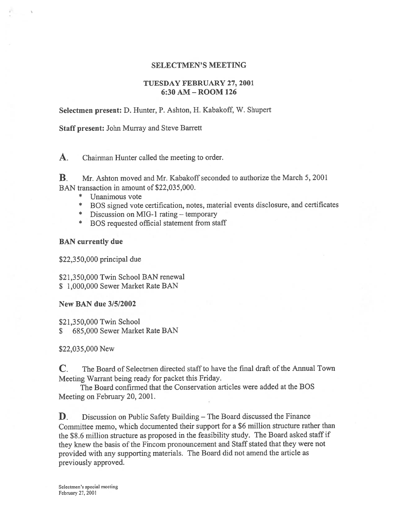### SELECTMEN'S MEETING

### TUESDAY FEBRUARY 27, 2001 6:30 AM -ROOM 126

Selectmen present: D. Hunter, P. Ashton, H. Kabakoff, W. Shupert

Staff present: John Murray and Steve Barrett

A. Chairman Hunter called the meeting to order.

B. Mr. Ashton moved and Mr. Kabakoff seconded to authorize the March 5, 2001 BAN transaction in amount of \$22,035,000.

- \* Unanimous vote
- \* BUS signed vote certification, notes, material events disclosure, and certificates
- \* Discussion on MIG- 1 rating temporary
- \* BOS requested official statement from staff

BAN currently due

\$22,350,000 principal due

\$21,350,000 Twin School BAN renewal \$ 1,000,000 Sewer Market Rate BAN

New BAN due 3/5/2002

\$21,350,000 Twin School \$ 685,000 Sewer Market Rate BAN

\$22,035,000 New

C. The Board of Selectmen directed staff to have the final draft of the Annual Town Meeting Warrant being ready for packet this Friday.

The Board confirmed that the Conservation articles were added at the BOS Meeting on February 20, 2001.

**D.** Discussion on Public Safety Building – The Board discussed the Finance Committee memo, which documented their suppor<sup>t</sup> for <sup>a</sup> \$6 million structure rather than the \$8.6 million structure as propose<sup>d</sup> in the feasibility study. The Board asked staff if they knew the basis of the Fincom pronouncemen<sup>t</sup> and Staff stated that they were not provided with any supporting materials. The Board did not amend the article as previously approved.